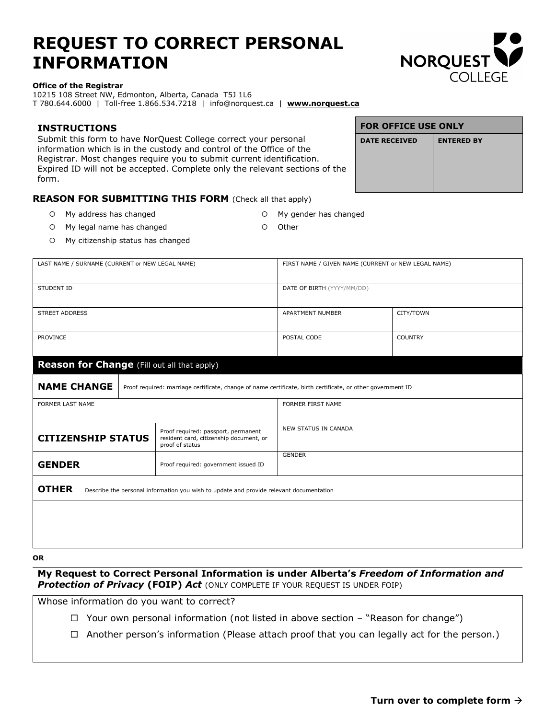# **REQUEST TO CORRECT PERSONAL INFORMATION**



#### **Office of the Registrar**

10215 108 Street NW, Edmonton, Alberta, Canada T5J 1L6 T 780.644.6000 | Toll-free 1.866.534.7218 | info@norquest.ca | **www.norquest.ca**

## **INSTRUCTIONS** Submit this form to have NorQuest College correct your personal information which is in the custody and control of the Office of the Registrar. Most changes require you to submit current identification. Expired ID will not be accepted. Complete only the relevant sections of the form.

| <b>FOR OFFICE USE ONLY</b> |                   |  |
|----------------------------|-------------------|--|
| <b>DATE RECEIVED</b>       | <b>ENTERED BY</b> |  |
|                            |                   |  |
|                            |                   |  |

## **REASON FOR SUBMITTING THIS FORM** (Check all that apply)

- O My address has changed C My gender has changed
	-
- O My legal name has changed C Other
- My citizenship status has changed

| LAST NAME / SURNAME (CURRENT or NEW LEGAL NAME)                                                         |                                                                                                             | FIRST NAME / GIVEN NAME (CURRENT or NEW LEGAL NAME) |                |
|---------------------------------------------------------------------------------------------------------|-------------------------------------------------------------------------------------------------------------|-----------------------------------------------------|----------------|
| <b>STUDENT ID</b>                                                                                       |                                                                                                             | DATE OF BIRTH (YYYY/MM/DD)                          |                |
| <b>STREET ADDRESS</b>                                                                                   |                                                                                                             | APARTMENT NUMBER                                    | CITY/TOWN      |
| <b>PROVINCE</b>                                                                                         |                                                                                                             | POSTAL CODE                                         | <b>COUNTRY</b> |
| <b>Reason for Change</b> (Fill out all that apply)                                                      |                                                                                                             |                                                     |                |
| <b>NAME CHANGE</b>                                                                                      | Proof required: marriage certificate, change of name certificate, birth certificate, or other government ID |                                                     |                |
| FORMER LAST NAME                                                                                        |                                                                                                             | FORMER FIRST NAME                                   |                |
| <b>CITIZENSHIP STATUS</b>                                                                               | Proof required: passport, permanent<br>resident card, citizenship document, or<br>proof of status           | <b>NEW STATUS IN CANADA</b>                         |                |
| <b>GENDER</b>                                                                                           | Proof required: government issued ID                                                                        | <b>GENDER</b>                                       |                |
| <b>OTHER</b><br>Describe the personal information you wish to update and provide relevant documentation |                                                                                                             |                                                     |                |
|                                                                                                         |                                                                                                             |                                                     |                |
|                                                                                                         |                                                                                                             |                                                     |                |

## **OR**

**My Request to Correct Personal Information is under Alberta's** *Freedom of Information and Protection of Privacy* **(FOIP)** *Act* (ONLY COMPLETE IF YOUR REQUEST IS UNDER FOIP)

Whose information do you want to correct?

- $\Box$  Your own personal information (not listed in above section "Reason for change")
- $\Box$  Another person's information (Please attach proof that you can legally act for the person.)